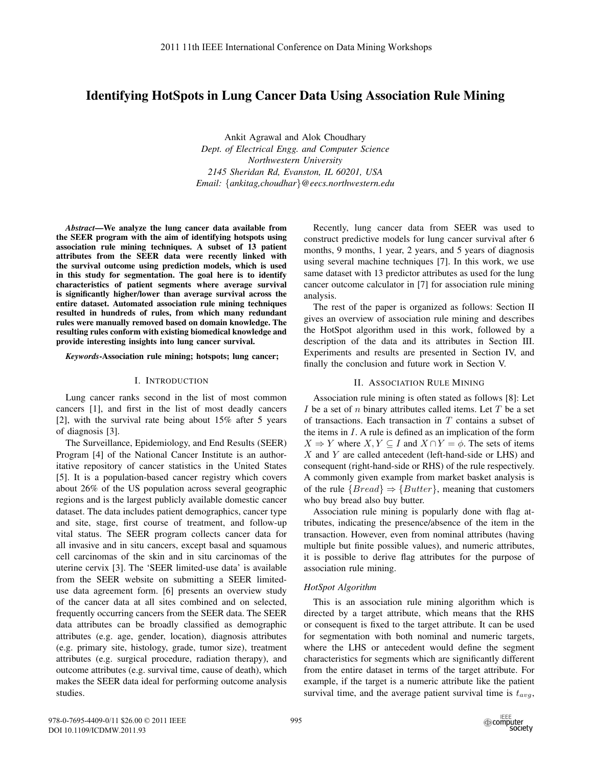# Identifying HotSpots in Lung Cancer Data Using Association Rule Mining

Ankit Agrawal and Alok Choudhary *Dept. of Electrical Engg. and Computer Science Northwestern University 2145 Sheridan Rd, Evanston, IL 60201, USA Email:* {*ankitag,choudhar*}*@eecs.northwestern.edu*

*Abstract*—We analyze the lung cancer data available from the SEER program with the aim of identifying hotspots using association rule mining techniques. A subset of 13 patient attributes from the SEER data were recently linked with the survival outcome using prediction models, which is used in this study for segmentation. The goal here is to identify characteristics of patient segments where average survival is significantly higher/lower than average survival across the entire dataset. Automated association rule mining techniques resulted in hundreds of rules, from which many redundant rules were manually removed based on domain knowledge. The resulting rules conform with existing biomedical knowledge and provide interesting insights into lung cancer survival.

#### *Keywords*-Association rule mining; hotspots; lung cancer;

#### I. INTRODUCTION

Lung cancer ranks second in the list of most common cancers [1], and first in the list of most deadly cancers [2], with the survival rate being about 15% after 5 years of diagnosis [3].

The Surveillance, Epidemiology, and End Results (SEER) Program [4] of the National Cancer Institute is an authoritative repository of cancer statistics in the United States [5]. It is a population-based cancer registry which covers about 26% of the US population across several geographic regions and is the largest publicly available domestic cancer dataset. The data includes patient demographics, cancer type and site, stage, first course of treatment, and follow-up vital status. The SEER program collects cancer data for all invasive and in situ cancers, except basal and squamous cell carcinomas of the skin and in situ carcinomas of the uterine cervix [3]. The 'SEER limited-use data' is available from the SEER website on submitting a SEER limiteduse data agreement form. [6] presents an overview study of the cancer data at all sites combined and on selected, frequently occurring cancers from the SEER data. The SEER data attributes can be broadly classified as demographic attributes (e.g. age, gender, location), diagnosis attributes (e.g. primary site, histology, grade, tumor size), treatment attributes (e.g. surgical procedure, radiation therapy), and outcome attributes (e.g. survival time, cause of death), which makes the SEER data ideal for performing outcome analysis studies.

Recently, lung cancer data from SEER was used to construct predictive models for lung cancer survival after 6 months, 9 months, 1 year, 2 years, and 5 years of diagnosis using several machine techniques [7]. In this work, we use same dataset with 13 predictor attributes as used for the lung cancer outcome calculator in [7] for association rule mining analysis.

The rest of the paper is organized as follows: Section II gives an overview of association rule mining and describes the HotSpot algorithm used in this work, followed by a description of the data and its attributes in Section III. Experiments and results are presented in Section IV, and finally the conclusion and future work in Section V.

# II. ASSOCIATION RULE MINING

Association rule mining is often stated as follows [8]: Let I be a set of n binary attributes called items. Let T be a set of transactions. Each transaction in  $T$  contains a subset of the items in  $I$ . A rule is defined as an implication of the form  $X \Rightarrow Y$  where  $X, Y \subseteq I$  and  $X \cap Y = \phi$ . The sets of items  $X$  and  $Y$  are called antecedent (left-hand-side or LHS) and consequent (right-hand-side or RHS) of the rule respectively. A commonly given example from market basket analysis is of the rule  ${Bread} \Rightarrow {Butter}$ , meaning that customers who buy bread also buy butter.

Association rule mining is popularly done with flag attributes, indicating the presence/absence of the item in the transaction. However, even from nominal attributes (having multiple but finite possible values), and numeric attributes, it is possible to derive flag attributes for the purpose of association rule mining.

## *HotSpot Algorithm*

This is an association rule mining algorithm which is directed by a target attribute, which means that the RHS or consequent is fixed to the target attribute. It can be used for segmentation with both nominal and numeric targets, where the LHS or antecedent would define the segment characteristics for segments which are significantly different from the entire dataset in terms of the target attribute. For example, if the target is a numeric attribute like the patient survival time, and the average patient survival time is  $t_{avg}$ ,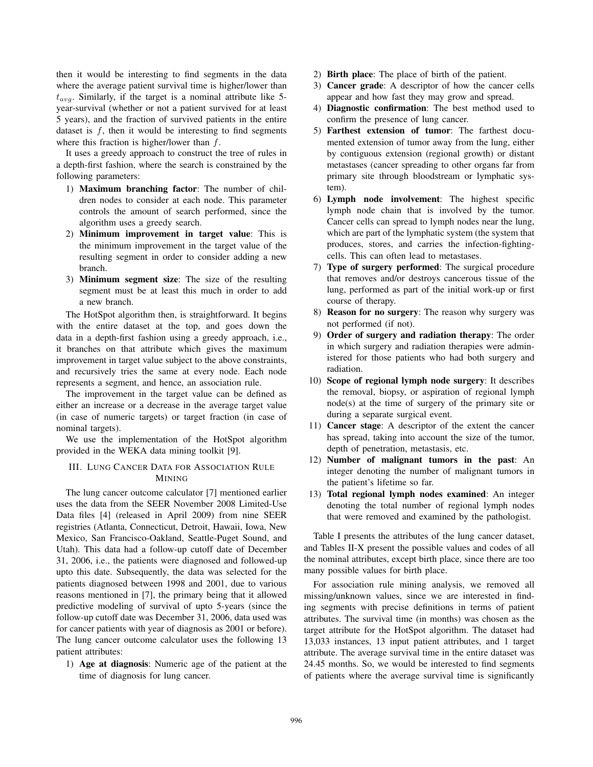then it would be interesting to find segments in the data where the average patient survival time is higher/lower than  $t_{avg}$ . Similarly, if the target is a nominal attribute like 5year-survival (whether or not a patient survived for at least 5 years), and the fraction of survived patients in the entire dataset is  $f$ , then it would be interesting to find segments where this fraction is higher/lower than  $f$ .

It uses a greedy approach to construct the tree of rules in a depth-first fashion, where the search is constrained by the following parameters:

- 1) Maximum branching factor: The number of children nodes to consider at each node. This parameter controls the amount of search performed, since the algorithm uses a greedy search.
- 2) Minimum improvement in target value: This is the minimum improvement in the target value of the resulting segment in order to consider adding a new branch.
- 3) Minimum segment size: The size of the resulting segment must be at least this much in order to add a new branch.

The HotSpot algorithm then, is straightforward. It begins with the entire dataset at the top, and goes down the data in a depth-first fashion using a greedy approach, i.e., it branches on that attribute which gives the maximum improvement in target value subject to the above constraints, and recursively tries the same at every node. Each node represents a segment, and hence, an association rule.

The improvement in the target value can be defined as either an increase or a decrease in the average target value (in case of numeric targets) or target fraction (in case of nominal targets).

We use the implementation of the HotSpot algorithm provided in the WEKA data mining toolkit [9].

# III. LUNG CANCER DATA FOR ASSOCIATION RULE MINING

The lung cancer outcome calculator [7] mentioned earlier uses the data from the SEER November 2008 Limited-Use Data files [4] (released in April 2009) from nine SEER registries (Atlanta, Connecticut, Detroit, Hawaii, Iowa, New Mexico, San Francisco-Oakland, Seattle-Puget Sound, and Utah). This data had a follow-up cutoff date of December 31, 2006, i.e., the patients were diagnosed and followed-up upto this date. Subsequently, the data was selected for the patients diagnosed between 1998 and 2001, due to various reasons mentioned in [7], the primary being that it allowed predictive modeling of survival of upto 5-years (since the follow-up cutoff date was December 31, 2006, data used was for cancer patients with year of diagnosis as 2001 or before). The lung cancer outcome calculator uses the following 13 patient attributes:

1) Age at diagnosis: Numeric age of the patient at the time of diagnosis for lung cancer.

- 2) Birth place: The place of birth of the patient.
- 3) Cancer grade: A descriptor of how the cancer cells appear and how fast they may grow and spread.
- 4) Diagnostic confirmation: The best method used to confirm the presence of lung cancer.
- 5) Farthest extension of tumor: The farthest documented extension of tumor away from the lung, either by contiguous extension (regional growth) or distant metastases (cancer spreading to other organs far from primary site through bloodstream or lymphatic system).
- 6) Lymph node involvement: The highest specific lymph node chain that is involved by the tumor. Cancer cells can spread to lymph nodes near the lung, which are part of the lymphatic system (the system that produces, stores, and carries the infection-fightingcells. This can often lead to metastases.
- 7) Type of surgery performed: The surgical procedure that removes and/or destroys cancerous tissue of the lung, performed as part of the initial work-up or first course of therapy.
- 8) Reason for no surgery: The reason why surgery was not performed (if not).
- 9) Order of surgery and radiation therapy: The order in which surgery and radiation therapies were administered for those patients who had both surgery and radiation.
- 10) Scope of regional lymph node surgery: It describes the removal, biopsy, or aspiration of regional lymph node(s) at the time of surgery of the primary site or during a separate surgical event.
- 11) Cancer stage: A descriptor of the extent the cancer has spread, taking into account the size of the tumor, depth of penetration, metastasis, etc.
- 12) Number of malignant tumors in the past: An integer denoting the number of malignant tumors in the patient's lifetime so far.
- 13) Total regional lymph nodes examined: An integer denoting the total number of regional lymph nodes that were removed and examined by the pathologist.

Table I presents the attributes of the lung cancer dataset, and Tables II-X present the possible values and codes of all the nominal attributes, except birth place, since there are too many possible values for birth place.

For association rule mining analysis, we removed all missing/unknown values, since we are interested in finding segments with precise definitions in terms of patient attributes. The survival time (in months) was chosen as the target attribute for the HotSpot algorithm. The dataset had 13,033 instances, 13 input patient attributes, and 1 target attribute. The average survival time in the entire dataset was 24.45 months. So, we would be interested to find segments of patients where the average survival time is significantly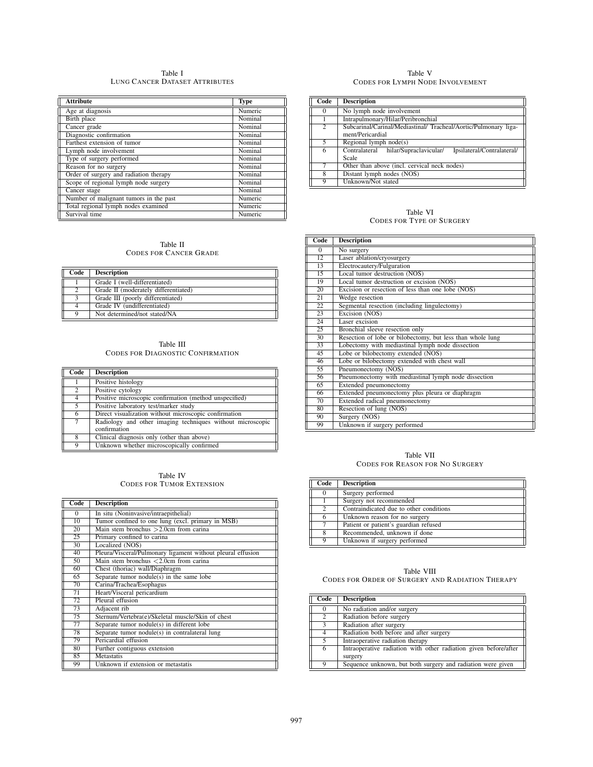Table I LUNG CANCER DATASET ATTRIBUTES

| <b>Attribute</b>                       | <b>Type</b> |
|----------------------------------------|-------------|
| Age at diagnosis                       | Numeric     |
| Birth place                            | Nominal     |
| Cancer grade                           | Nominal     |
| Diagnostic confirmation                | Nominal     |
| Farthest extension of tumor            | Nominal     |
| Lymph node involvement                 | Nominal     |
| Type of surgery performed              | Nominal     |
| Reason for no surgery                  | Nominal     |
| Order of surgery and radiation therapy | Nominal     |
| Scope of regional lymph node surgery   | Nominal     |
| Cancer stage                           | Nominal     |
| Number of malignant tumors in the past | Numeric     |
| Total regional lymph nodes examined    | Numeric     |
| Survival time                          | Numeric     |

### Table II CODES FOR CANCER GRADE

| Code     | <b>Description</b>                   |
|----------|--------------------------------------|
|          | Grade I (well-differentiated)        |
|          | Grade II (moderately differentiated) |
|          | Grade III (poorly differentiated)    |
|          | Grade IV (undifferentiated)          |
| $\Omega$ | Not determined/not stated/NA         |

| Table III                                |
|------------------------------------------|
| <b>CODES FOR DIAGNOSTIC CONFIRMATION</b> |

| Code            | <b>Description</b>                                                         |
|-----------------|----------------------------------------------------------------------------|
|                 | Positive histology                                                         |
| $\mathfrak{D}$  | Positive cytology                                                          |
| $\overline{4}$  | Positive microscopic confirmation (method unspecified)                     |
| 5.              | Positive laboratory test/marker study                                      |
| 6               | Direct visualization without microscopic confirmation                      |
| $7\phantom{.0}$ | Radiology and other imaging techniques without microscopic<br>confirmation |
| 8               | Clinical diagnosis only (other than above)                                 |
| Q               | Unknown whether microscopically confirmed                                  |

# Table IV CODES FOR TUMOR EXTENSION

| Code            | <b>Description</b>                                          |
|-----------------|-------------------------------------------------------------|
|                 |                                                             |
| $\Omega$        | In situ (Noninvasive/intraepithelial)                       |
| $\overline{10}$ | Tumor confined to one lung (excl. primary in MSB)           |
| $\overline{20}$ | Main stem bronchus $>2.0$ cm from carina                    |
| 25              | Primary confined to carina                                  |
| 30              | Localized (NOS)                                             |
| 40              | Pleura/Visceral/Pulmonary ligament without pleural effusion |
| 50              | Main stem bronchus $<$ 2.0cm from carina                    |
| 60              | Chest (thoriac) wall/Diaphragm                              |
| 65              | Separate tumor nodule(s) in the same lobe                   |
| 70              | Carina/Trachea/Esophagus                                    |
| 71              | Heart/Visceral pericardium                                  |
| 72              | Pleural effusion                                            |
| 73              | Adjacent rib                                                |
| 75              | Sternum/Vertebra(e)/Skeletal muscle/Skin of chest           |
| 77              | Separate tumor nodule(s) in different lobe                  |
| 78              | Separate tumor nodule(s) in contralateral lung              |
| 79              | Pericardial effusion                                        |
| 80              | Further contiguous extension                                |
| 85              | Metastatis                                                  |
| 99              | Unknown if extension or metastatis                          |

#### Table V CODES FOR LYMPH NODE INVOLVEMENT

| Code           | <b>Description</b>                                                                 |
|----------------|------------------------------------------------------------------------------------|
| 0              | No lymph node involvement                                                          |
|                | Intrapulmonary/Hilar/Peribronchial                                                 |
| $\mathfrak{D}$ | Subcarinal/Carinal/Mediastinal/Tracheal/Aortic/Pulmonary liga-<br>ment/Pericardial |
| 5              | Regional lymph $node(s)$                                                           |
| 6              | hilar/Supraclavicular/<br>Ipsilateral/Contralateral/<br>Contralateral<br>Scale     |
|                | Other than above (incl. cervical neck nodes)                                       |
| 8              | Distant lymph nodes (NOS)                                                          |
| a              | Unknown/Not stated                                                                 |

# Table VI CODES FOR TYPE OF SURGERY

| Code     | <b>Description</b>                                         |
|----------|------------------------------------------------------------|
| $\Omega$ | No surgery                                                 |
| 12       | Laser ablation/cryosurgery                                 |
| 13       | Electrocautery/Fulguration                                 |
| 15       | Local tumor destruction (NOS)                              |
| 19       | Local tumor destruction or excision (NOS)                  |
| 20       | Excision or resection of less than one lobe (NOS)          |
| 21       | Wedge resection                                            |
| 22       | Segmental resection (including lingulectomy)               |
| 23       | Excision (NOS)                                             |
| 24       | Laser excision                                             |
| 25       | Bronchial sleeve resection only                            |
| 30       | Resection of lobe or bilobectomy, but less than whole lung |
| 33       | Lobectomy with mediastinal lymph node dissection           |
| 45       | Lobe or bilobectomy extended (NOS)                         |
| 46       | Lobe or bilobectomy extended with chest wall               |
| 55       | Pneumonectomy (NOS)                                        |
| 56       | Pneumonectomy with mediastinal lymph node dissection       |
| 65       | Extended pneumonectomy                                     |
| 66       | Extended pneumonectomy plus pleura or diaphragm            |
| 70       | Extended radical pneumonectomy                             |
| 80       | Resection of lung (NOS)                                    |
| 90       | Surgery (NOS)                                              |
| 99       | Unknown if surgery performed                               |

Table VII CODES FOR REASON FOR NO SURGERY

| Code | <b>Description</b>                      |
|------|-----------------------------------------|
|      | Surgery performed                       |
|      | Surgery not recommended                 |
|      | Contraindicated due to other conditions |
|      | Unknown reason for no surgery           |
|      | Patient or patient's guardian refused   |
|      | Recommended, unknown if done            |
|      | Unknown if surgery performed            |

| Table VIII                                       |  |
|--------------------------------------------------|--|
| CODES FOR ORDER OF SURGERY AND RADIATION THERAPY |  |

| Code           | <b>Description</b>                                               |
|----------------|------------------------------------------------------------------|
| $\theta$       | No radiation and/or surgery                                      |
| 2              | Radiation before surgery                                         |
| $\bar{3}$      | Radiation after surgery                                          |
| $\overline{4}$ | Radiation both before and after surgery                          |
| 5              | Intraoperative radiation therapy                                 |
| 6              | Intraoperative radiation with other radiation given before/after |
|                | surgery                                                          |
| Q              | Sequence unknown, but both surgery and radiation were given      |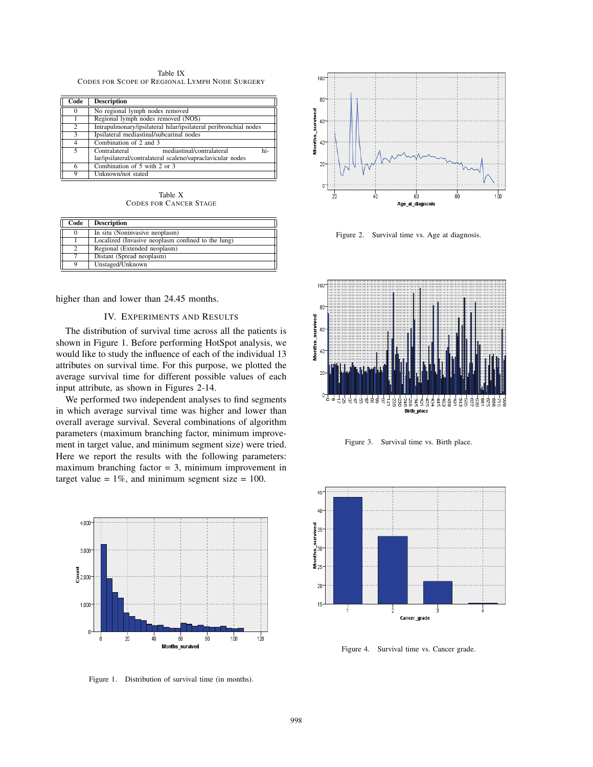Table IX CODES FOR SCOPE OF REGIONAL LYMPH NODE SURGERY

| Code | <b>Description</b>                                               |
|------|------------------------------------------------------------------|
|      | No regional lymph nodes removed                                  |
|      | Regional lymph nodes removed (NOS)                               |
| 2    | Intrapulmonary/ipsilateral hilar/ipsilateral peribronchial nodes |
| 3    | Ipsilateral mediastinal/subcarinal nodes                         |
| 4    | Combination of 2 and 3                                           |
| 5    | Contralateral<br>mediastinal/contralateral<br>hi-                |
|      | lar/ipsilateral/contralateral scalene/supraclavicular nodes      |
|      | Combination of 5 with 2 or 3                                     |
| Q    | Unknown/not stated                                               |

Table X CODES FOR CANCER STAGE

| Code | <b>Description</b>                                 |
|------|----------------------------------------------------|
|      | In situ (Noninvasive neoplasm)                     |
|      | Localized (Invasive neoplasm confined to the lung) |
|      | Regional (Extended neoplasm)                       |
|      | Distant (Spread neoplasm)                          |
| о    | Unstaged/Unknown                                   |

higher than and lower than 24.45 months.

# IV. EXPERIMENTS AND RESULTS

The distribution of survival time across all the patients is shown in Figure 1. Before performing HotSpot analysis, we would like to study the influence of each of the individual 13 attributes on survival time. For this purpose, we plotted the average survival time for different possible values of each input attribute, as shown in Figures 2-14.

We performed two independent analyses to find segments in which average survival time was higher and lower than overall average survival. Several combinations of algorithm parameters (maximum branching factor, minimum improvement in target value, and minimum segment size) were tried. Here we report the results with the following parameters: maximum branching factor  $= 3$ , minimum improvement in target value =  $1\%$ , and minimum segment size =  $100$ .



Figure 1. Distribution of survival time (in months).



Figure 2. Survival time vs. Age at diagnosis.



Figure 3. Survival time vs. Birth place.



Figure 4. Survival time vs. Cancer grade.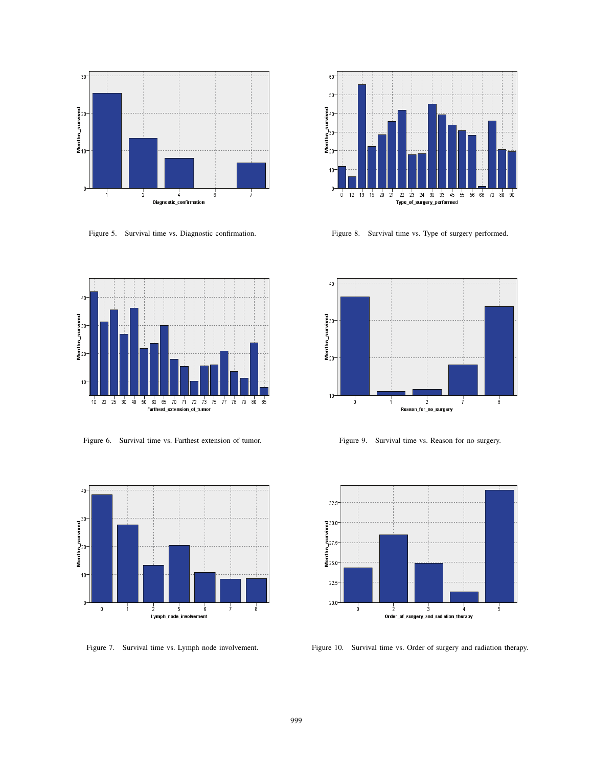

Figure 5. Survival time vs. Diagnostic confirmation.



Figure 6. Survival time vs. Farthest extension of tumor.



Figure 7. Survival time vs. Lymph node involvement.



Figure 8. Survival time vs. Type of surgery performed.



Figure 9. Survival time vs. Reason for no surgery.



Figure 10. Survival time vs. Order of surgery and radiation therapy.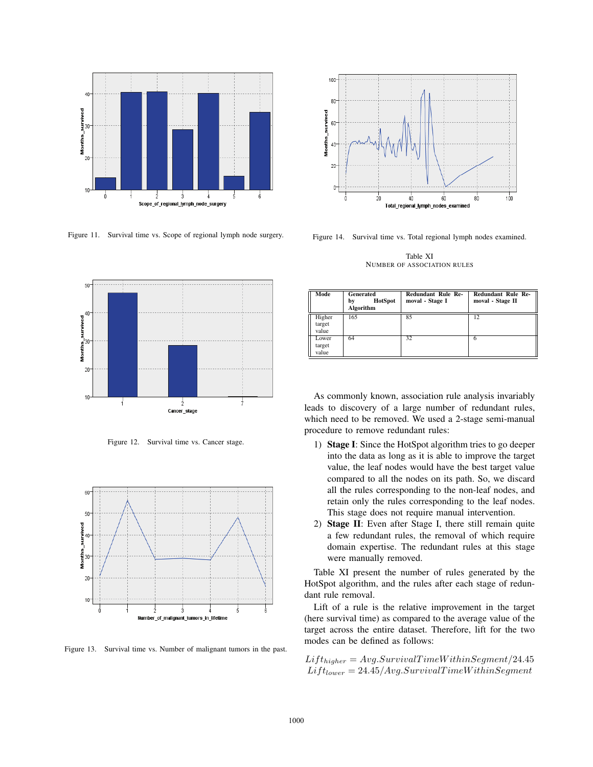

Figure 11. Survival time vs. Scope of regional lymph node surgery.



Figure 12. Survival time vs. Cancer stage.



Figure 13. Survival time vs. Number of malignant tumors in the past.

![](_page_5_Figure_6.jpeg)

Figure 14. Survival time vs. Total regional lymph nodes examined.

Table XI NUMBER OF ASSOCIATION RULES

| Mode                      | Generated<br><b>HotSpot</b><br>bv<br>Algorithm | <b>Redundant Rule Re-</b><br>moval - Stage I | <b>Redundant Rule Re-</b><br>moval - Stage II |
|---------------------------|------------------------------------------------|----------------------------------------------|-----------------------------------------------|
| Higher<br>target<br>value | 165                                            | 85                                           | 12                                            |
| Lower<br>target<br>value  | 64                                             | 32                                           | 6                                             |

As commonly known, association rule analysis invariably leads to discovery of a large number of redundant rules, which need to be removed. We used a 2-stage semi-manual procedure to remove redundant rules:

- 1) Stage I: Since the HotSpot algorithm tries to go deeper into the data as long as it is able to improve the target value, the leaf nodes would have the best target value compared to all the nodes on its path. So, we discard all the rules corresponding to the non-leaf nodes, and retain only the rules corresponding to the leaf nodes. This stage does not require manual intervention.
- 2) Stage II: Even after Stage I, there still remain quite a few redundant rules, the removal of which require domain expertise. The redundant rules at this stage were manually removed.

Table XI present the number of rules generated by the HotSpot algorithm, and the rules after each stage of redundant rule removal.

Lift of a rule is the relative improvement in the target (here survival time) as compared to the average value of the target across the entire dataset. Therefore, lift for the two modes can be defined as follows:

 $Lift_{higher} = Avg.SurvivalTimeWithin Segment/24.45$  $Lift_{lower} = 24.45/Avg.SurvivalTimeWithin Segment$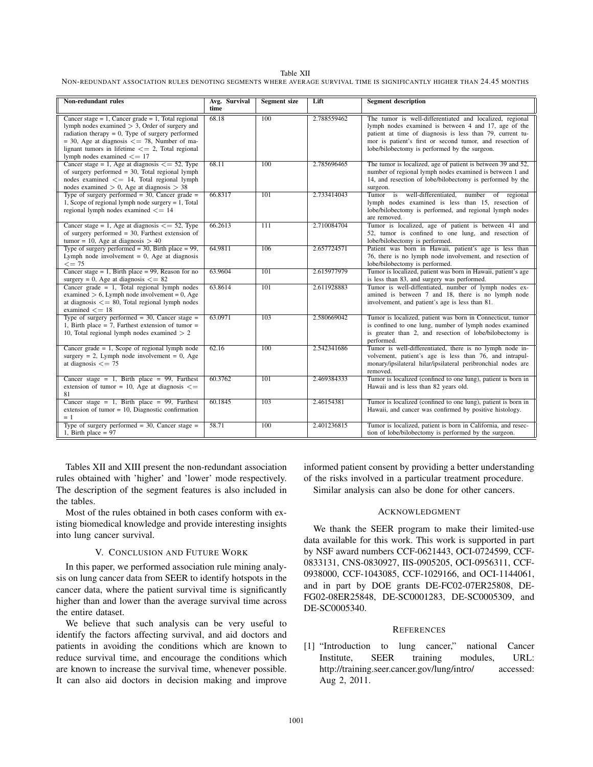#### Table XII

NON-REDUNDANT ASSOCIATION RULES DENOTING SEGMENTS WHERE AVERAGE SURVIVAL TIME IS SIGNIFICANTLY HIGHER THAN 24.45 MONTHS

| Non-redundant rules                                                                                                                                                                                                                                                                                                    | Avg. Survival<br>time | <b>Segment</b> size | Lift        | <b>Segment description</b>                                                                                                                                                                                                                                                                 |
|------------------------------------------------------------------------------------------------------------------------------------------------------------------------------------------------------------------------------------------------------------------------------------------------------------------------|-----------------------|---------------------|-------------|--------------------------------------------------------------------------------------------------------------------------------------------------------------------------------------------------------------------------------------------------------------------------------------------|
| Cancer stage $= 1$ , Cancer grade $= 1$ , Total regional<br>lymph nodes examined $> 3$ , Order of surgery and<br>radiation therapy $= 0$ , Type of surgery performed<br>$=$ 30, Age at diagnosis $\leq$ = 78, Number of ma-<br>lignant tumors in lifetime $\leq$ 2, Total regional<br>lymph nodes examined $\leq$ = 17 | 68.18                 | 100                 | 2.788559462 | The tumor is well-differentiated and localized, regional<br>lymph nodes examined is between 4 and 17, age of the<br>patient at time of diagnosis is less than 79, current tu-<br>mor is patient's first or second tumor, and resection of<br>lobe/bilobectomy is performed by the surgeon. |
| Cancer stage = 1, Age at diagnosis $\leq$ = 52, Type<br>of surgery performed $=$ 30, Total regional lymph<br>nodes examined $\leq$ 14, Total regional lymph<br>nodes examined $> 0$ , Age at diagnosis $> 38$                                                                                                          | 68.11                 | 100                 | 2.785696465 | The tumor is localized, age of patient is between 39 and 52,<br>number of regional lymph nodes examined is between 1 and<br>14, and resection of lobe/bilobectomy is performed by the<br>surgeon.                                                                                          |
| Type of surgery performed $=$ 30, Cancer grade $=$<br>1, Scope of regional lymph node surgery $= 1$ , Total<br>regional lymph nodes examined $\leq$ = 14                                                                                                                                                               | 66.8317               | 101                 | 2.733414043 | Tumor is well-differentiated, number of regional<br>lymph nodes examined is less than 15, resection of<br>lobe/bilobectomy is performed, and regional lymph nodes<br>are removed.                                                                                                          |
| Cancer stage = 1, Age at diagnosis $\leq$ = 52, Type<br>of surgery performed $=$ 30, Farthest extension of<br>tumor = 10, Age at diagnosis $> 40$                                                                                                                                                                      | 66.2613               | 111                 | 2.710084704 | Tumor is localized, age of patient is between 41 and<br>52, tumor is confined to one lung, and resection of<br>lobe/bilobectomy is performed.                                                                                                                                              |
| Type of surgery performed $=$ 30, Birth place $=$ 99,<br>Lymph node involvement $= 0$ , Age at diagnosis<br>$\leq$ = 75                                                                                                                                                                                                | 64.9811               | 106                 | 2.657724571 | Patient was born in Hawaii, patient's age is less than<br>76, there is no lymph node involvement, and resection of<br>lobe/bilobectomy is performed.                                                                                                                                       |
| Cancer stage = 1, Birth place = 99, Reason for no<br>surgery = 0, Age at diagnosis $\leq$ = 82                                                                                                                                                                                                                         | 63,9604               | $\overline{101}$    | 2.615977979 | Tumor is localized, patient was born in Hawaii, patient's age<br>is less than 83, and surgery was performed.                                                                                                                                                                               |
| Cancer grade $= 1$ , Total regional lymph nodes<br>examined $> 6$ , Lymph node involvement = 0, Age<br>at diagnosis $\leq$ 80, Total regional lymph nodes<br>examined $\leq$ = 18                                                                                                                                      | 63.8614               | 101                 | 2.611928883 | Tumor is well-diffentiated, number of lymph nodes ex-<br>amined is between 7 and 18, there is no lymph node<br>involvement, and patient's age is less than 81.                                                                                                                             |
| Type of surgery performed = $30$ , Cancer stage =<br>1, Birth place = 7, Farthest extension of tumor =<br>10, Total regional lymph nodes examined $> 2$                                                                                                                                                                | 63.0971               | 103                 | 2.580669042 | Tumor is localized, patient was born in Connecticut, tumor<br>is confined to one lung, number of lymph nodes examined<br>is greater than 2, and resection of lobe/bilobectomy is<br>performed.                                                                                             |
| Cancer grade $= 1$ , Scope of regional lymph node<br>surgery = 2, Lymph node involvement = 0, Age<br>at diagnosis $\leq$ = 75                                                                                                                                                                                          | 62.16                 | 100                 | 2.542341686 | Tumor is well-differentiated, there is no lymph node in-<br>volvement, patient's age is less than 76, and intrapul-<br>monary/ipsilateral hilar/ipsilateral peribronchial nodes are<br>removed.                                                                                            |
| Cancer stage = 1, Birth place = 99, Farthest<br>extension of tumor = 10, Age at diagnosis $\leq$<br>81                                                                                                                                                                                                                 | 60.3762               | $\overline{101}$    | 2.469384333 | Tumor is localized (confined to one lung), patient is born in<br>Hawaii and is less than 82 years old.                                                                                                                                                                                     |
| Cancer stage = 1, Birth place = 99, Farthest<br>extension of tumor = $10$ , Diagnostic confirmation<br>$= 1$                                                                                                                                                                                                           | 60.1845               | 103                 | 2.46154381  | Tumor is localized (confined to one lung), patient is born in<br>Hawaii, and cancer was confirmed by positive histology.                                                                                                                                                                   |
| Type of surgery performed $=$ 30, Cancer stage $=$<br>1, Birth place $= 97$                                                                                                                                                                                                                                            | 58.71                 | $\overline{100}$    | 2.401236815 | Tumor is localized, patient is born in California, and resec-<br>tion of lobe/bilobectomy is performed by the surgeon.                                                                                                                                                                     |

Tables XII and XIII present the non-redundant association rules obtained with 'higher' and 'lower' mode respectively. The description of the segment features is also included in the tables.

Most of the rules obtained in both cases conform with existing biomedical knowledge and provide interesting insights into lung cancer survival.

## V. CONCLUSION AND FUTURE WORK

In this paper, we performed association rule mining analysis on lung cancer data from SEER to identify hotspots in the cancer data, where the patient survival time is significantly higher than and lower than the average survival time across the entire dataset.

We believe that such analysis can be very useful to identify the factors affecting survival, and aid doctors and patients in avoiding the conditions which are known to reduce survival time, and encourage the conditions which are known to increase the survival time, whenever possible. It can also aid doctors in decision making and improve informed patient consent by providing a better understanding of the risks involved in a particular treatment procedure.

Similar analysis can also be done for other cancers.

# ACKNOWLEDGMENT

We thank the SEER program to make their limited-use data available for this work. This work is supported in part by NSF award numbers CCF-0621443, OCI-0724599, CCF-0833131, CNS-0830927, IIS-0905205, OCI-0956311, CCF-0938000, CCF-1043085, CCF-1029166, and OCI-1144061, and in part by DOE grants DE-FC02-07ER25808, DE-FG02-08ER25848, DE-SC0001283, DE-SC0005309, and DE-SC0005340.

# **REFERENCES**

[1] "Introduction to lung cancer," national Cancer Institute, SEER training modules, URL: http://training.seer.cancer.gov/lung/intro/ accessed: Aug 2, 2011.